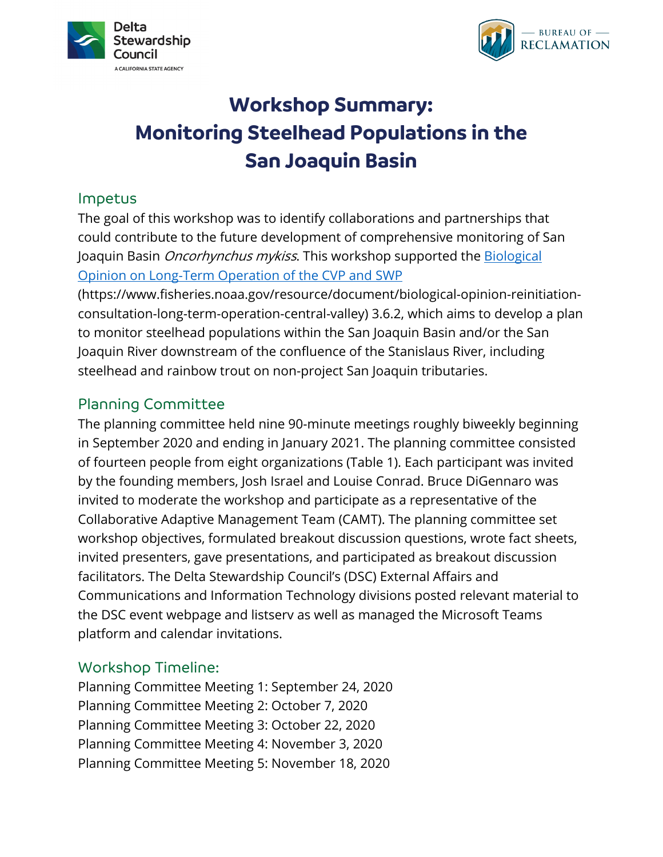



# **Workshop Summary: Monitoring Steelhead Populations in the San Joaquin Basin**

### Impetus

The goal of this workshop was to identify collaborations and partnerships that could contribute to the future development of comprehensive monitoring of San Joaquin Basin *Oncorhynchus mykiss*. This workshop supported the Biological [Opinion on Long-Term Operation of](https://www.fisheries.noaa.gov/resource/document/biological-opinion-reinitiation-consultation-long-term-operation-central-valley) the CVP and SWP

(https://www.fisheries.noaa.gov/resource/document/biological-opinion-reinitiationconsultation-long-term-operation-central-valley) 3.6.2, which aims to develop a plan to monitor steelhead populations within the San Joaquin Basin and/or the San Joaquin River downstream of the confluence of the Stanislaus River, including steelhead and rainbow trout on non-project San Joaquin tributaries.

### Planning Committee

The planning committee held nine 90-minute meetings roughly biweekly beginning in September 2020 and ending in January 2021. The planning committee consisted of fourteen people from eight organizations (Table 1). Each participant was invited by the founding members, Josh Israel and Louise Conrad. Bruce DiGennaro was invited to moderate the workshop and participate as a representative of the Collaborative Adaptive Management Team (CAMT). The planning committee set workshop objectives, formulated breakout discussion questions, wrote fact sheets, invited presenters, gave presentations, and participated as breakout discussion facilitators. The Delta Stewardship Council's (DSC) External Affairs and Communications and Information Technology divisions posted relevant material to the DSC event webpage and listserv as well as managed the Microsoft Teams platform and calendar invitations.

# Workshop Timeline:

Planning Committee Meeting 1: September 24, 2020 Planning Committee Meeting 2: October 7, 2020 Planning Committee Meeting 3: October 22, 2020 Planning Committee Meeting 4: November 3, 2020 Planning Committee Meeting 5: November 18, 2020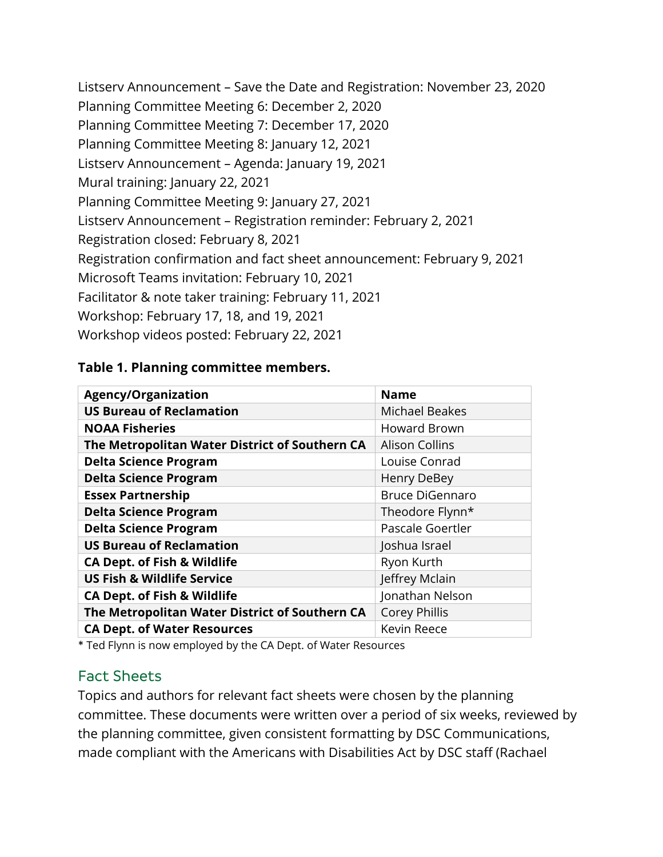Listserv Announcement – Save the Date and Registration: November 23, 2020 Planning Committee Meeting 6: December 2, 2020 Planning Committee Meeting 7: December 17, 2020 Planning Committee Meeting 8: January 12, 2021 Listserv Announcement – Agenda: January 19, 2021 Mural training: January 22, 2021 Planning Committee Meeting 9: January 27, 2021 Listserv Announcement – Registration reminder: February 2, 2021 Registration closed: February 8, 2021 Registration confirmation and fact sheet announcement: February 9, 2021 Microsoft Teams invitation: February 10, 2021 Facilitator & note taker training: February 11, 2021 Workshop: February 17, 18, and 19, 2021 Workshop videos posted: February 22, 2021

#### **Table 1. Planning committee members.**

| <b>Agency/Organization</b>                     | <b>Name</b>            |
|------------------------------------------------|------------------------|
| <b>US Bureau of Reclamation</b>                | <b>Michael Beakes</b>  |
| <b>NOAA Fisheries</b>                          | <b>Howard Brown</b>    |
| The Metropolitan Water District of Southern CA | <b>Alison Collins</b>  |
| <b>Delta Science Program</b>                   | Louise Conrad          |
| <b>Delta Science Program</b>                   | Henry DeBey            |
| <b>Essex Partnership</b>                       | <b>Bruce DiGennaro</b> |
| <b>Delta Science Program</b>                   | Theodore Flynn*        |
| <b>Delta Science Program</b>                   | Pascale Goertler       |
| <b>US Bureau of Reclamation</b>                | Joshua Israel          |
| <b>CA Dept. of Fish &amp; Wildlife</b>         | Ryon Kurth             |
| <b>US Fish &amp; Wildlife Service</b>          | Jeffrey Mclain         |
| <b>CA Dept. of Fish &amp; Wildlife</b>         | Jonathan Nelson        |
| The Metropolitan Water District of Southern CA | <b>Corey Phillis</b>   |
| <b>CA Dept. of Water Resources</b>             | Kevin Reece            |

\* Ted Flynn is now employed by the CA Dept. of Water Resources

### Fact Sheets

Topics and authors for relevant fact sheets were chosen by the planning committee. These documents were written over a period of six weeks, reviewed by the planning committee, given consistent formatting by DSC Communications, made compliant with the Americans with Disabilities Act by DSC staff (Rachael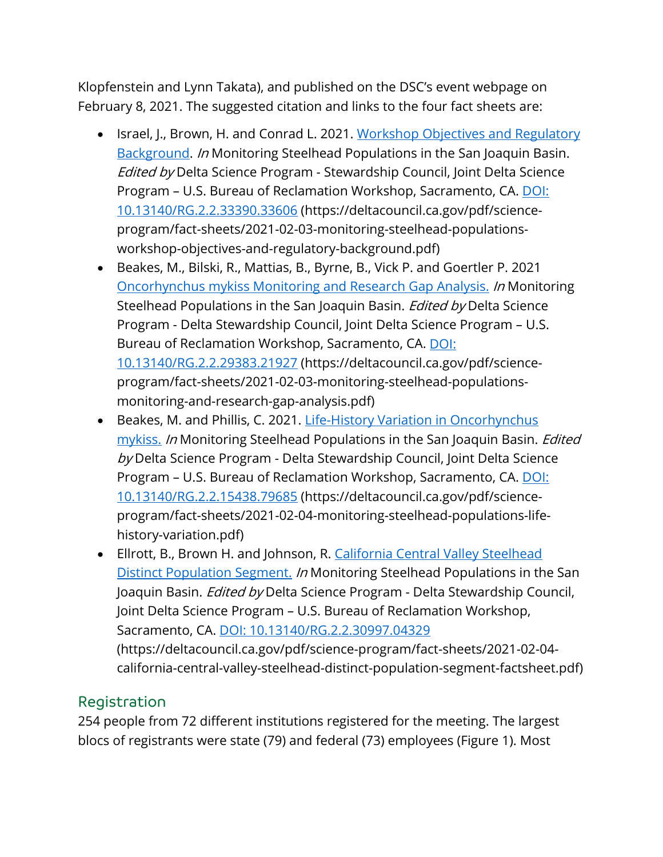Klopfenstein and Lynn Takata), and published on the DSC's event webpage on February 8, 2021. The suggested citation and links to the four fact sheets are:

- Israel, J., Brown, H. and Conrad L. 2021. Workshop Objectives and Regulatory [Background.](https://deltacouncil.ca.gov/pdf/science-program/fact-sheets/2021-02-03-monitoring-steelhead-populations-workshop-objectives-and-regulatory-background.pdf) In Monitoring Steelhead Populations in the San Joaquin Basin. Edited by Delta Science Program - Stewardship Council, Joint Delta Science Program - U.S. Bureau of Reclamation Workshop, Sacramento, CA. DOI: [10.13140/RG.2.2.33390.33606](doi:%2010.13140/RG.2.2.33390.33606) (https://deltacouncil.ca.gov/pdf/scienceprogram/fact-sheets/2021-02-03-monitoring-steelhead-populationsworkshop-objectives-and-regulatory-background.pdf)
- Beakes, M., Bilski, R., Mattias, B., Byrne, B., Vick P. and Goertler P. 2021 [Oncorhynchus mykiss Monitoring and Research Gap Analysis.](https://deltacouncil.ca.gov/pdf/science-program/fact-sheets/2021-02-03-monitoring-steelhead-populations-monitoring-and-research-gap-analysis.pdf) In Monitoring Steelhead Populations in the San Joaquin Basin. *Edited by* Delta Science Program - Delta Stewardship Council, Joint Delta Science Program – U.S. Bureau of Reclamation Workshop, Sacramento, CA. [DOI:](https://www.researchgate.net/publication/350022376_Monitoring_Steelhead_Populations_in_the_San_Joaquin_Basin_-Oncorhynchus_mykiss_Monitoring_and_Research_Gap_Analysis?channel=doi&linkId=604bf81f299bf13c4f011857&showFulltext=true)  [10.13140/RG.2.2.29383.21927](https://www.researchgate.net/publication/350022376_Monitoring_Steelhead_Populations_in_the_San_Joaquin_Basin_-Oncorhynchus_mykiss_Monitoring_and_Research_Gap_Analysis?channel=doi&linkId=604bf81f299bf13c4f011857&showFulltext=true) (https://deltacouncil.ca.gov/pdf/scienceprogram/fact-sheets/2021-02-03-monitoring-steelhead-populationsmonitoring-and-research-gap-analysis.pdf)
- Beakes, M. and Phillis, C. 2021. Life-History Variation in Oncorhynchus [mykiss.](https://deltacouncil.ca.gov/pdf/science-program/fact-sheets/2021-02-04-monitoring-steelhead-populations-life-history-variation.pdf) In Monitoring Steelhead Populations in the San Joaquin Basin. Edited by Delta Science Program - Delta Stewardship Council, Joint Delta Science Program - U.S. Bureau of Reclamation Workshop, Sacramento, CA. DOI: [10.13140/RG.2.2.15438.79685](https://www.researchgate.net/publication/350889569_Monitoring_Steelhead_Populations_in_the_San_Joaquin_Basin_-Life-History_Variation_in_Oncorhynchus_mykiss?channel=doi&linkId=60787db12fb9097c0ce97c18&showFulltext=true) (https://deltacouncil.ca.gov/pdf/scienceprogram/fact-sheets/2021-02-04-monitoring-steelhead-populations-lifehistory-variation.pdf)
- Ellrott, B., Brown H. and Johnson, R. California Central Valley Steelhead [Distinct Population Segment.](https://deltacouncil.ca.gov/pdf/science-program/fact-sheets/2021-02-04-california-central-valley-steelhead-distinct-population-segment-factsheet.pdf) In Monitoring Steelhead Populations in the San Joaquin Basin. *Edited by* Delta Science Program - Delta Stewardship Council, Joint Delta Science Program – U.S. Bureau of Reclamation Workshop, Sacramento, CA. DOI: [10.13140/RG.2.2.30997.04329](https://www.researchgate.net/publication/350890727_California_Central_Valley_Steelhead_Distinct_Population_Segment_Factsheet_Author_List_California_Central_Valley_Steelhead_Distinct_Population_Segment_DPS_Definition?channel=doi&linkId=6078b2bd2fb9097c0ce983da&showFulltext=true) (https://deltacouncil.ca.gov/pdf/science-program/fact-sheets/2021-02-04 california-central-valley-steelhead-distinct-population-segment-factsheet.pdf)

# Registration

254 people from 72 different institutions registered for the meeting. The largest blocs of registrants were state (79) and federal (73) employees (Figure 1). Most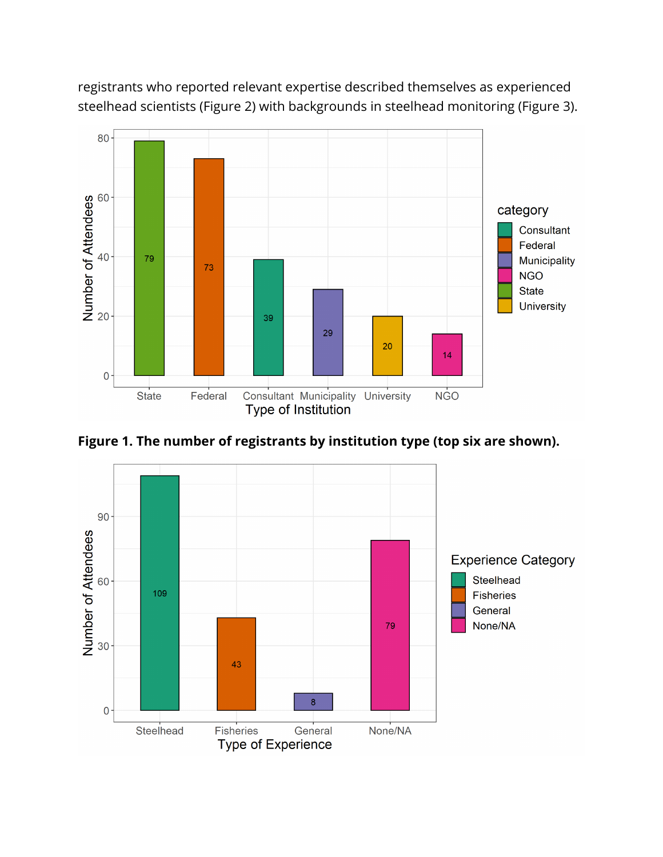

registrants who reported relevant expertise described themselves as experienced steelhead scientists (Figure 2) with backgrounds in steelhead monitoring (Figure 3).

**Figure 1. The number of registrants by institution type (top six are shown).** 

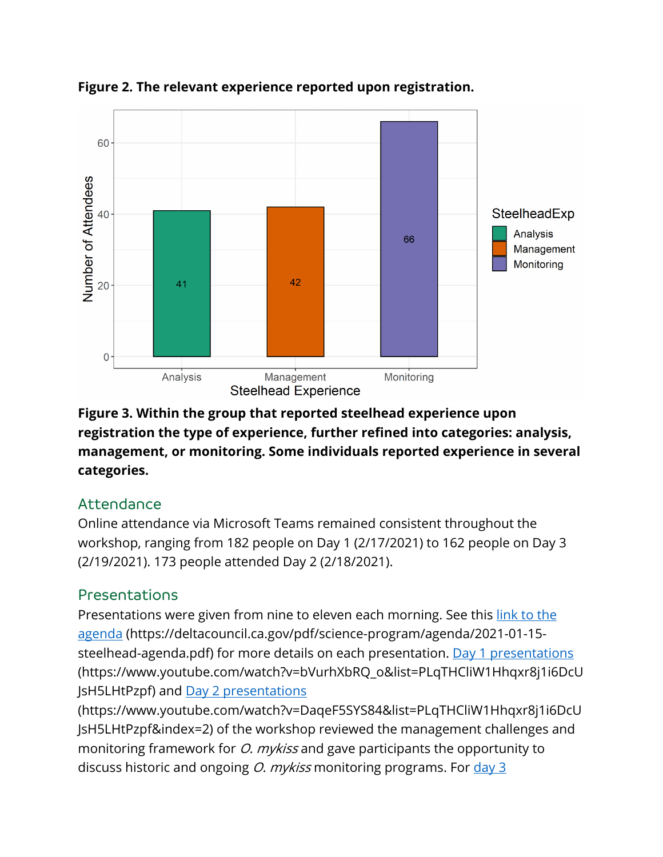

**Figure 2. The relevant experience reported upon registration.** 

**Figure 3. Within the group that reported steelhead experience upon registration the type of experience, further refined into categories: analysis, management, or monitoring. Some individuals reported experience in several categories.**

# Attendance

Online attendance via Microsoft Teams remained consistent throughout the workshop, ranging from 182 people on Day 1 (2/17/2021) to 162 people on Day 3 (2/19/2021). 173 people attended Day 2 (2/18/2021).

# Presentations

Presentations were given from nine to eleven each morning. See this link to the [agenda](https://deltacouncil.ca.gov/pdf/science-program/agenda/2021-01-15-steelhead-agenda.pdf) (https://deltacouncil.ca.gov/pdf/science-program/agenda/2021-01-15- steelhead-agenda.pdf) for more details on each presentation. [Day 1](https://www.youtube.com/watch?v=bVurhXbRQ_o&list=PLqTHCliW1Hhqxr8j1i6DcUJsH5LHtPzpf&index=1) presentations (https://www.youtube.com/watch?v=bVurhXbRQ\_o&list=PLqTHCliW1Hhqxr8j1i6DcU JsH5LHtPzpf) and [Day 2](https://www.youtube.com/watch?v=DaqeF5SYS84&list=PLqTHCliW1Hhqxr8j1i6DcUJsH5LHtPzpf&index=2) presentations

(https://www.youtube.com/watch?v=DaqeF5SYS84&list=PLqTHCliW1Hhqxr8j1i6DcU JsH5LHtPzpf&index=2) of the workshop reviewed the management challenges and monitoring framework for *O. mykiss* and gave participants the opportunity to discuss historic and ongoing  $O$ . mykiss monitoring programs. For  $\frac{day}{3}$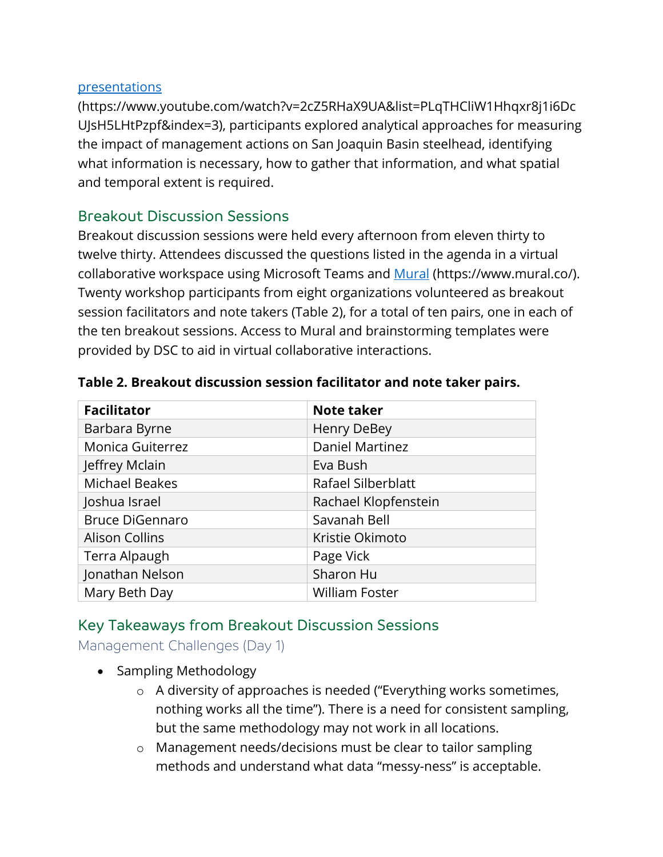#### presentations

(https://www.youtube.com/watch?v=2cZ5RHaX9UA&list=PLqTHCliW1Hhqxr8j1i6Dc UJsH5LHtPzpf&index=3), participants explored analytical approaches for measuring the impact of management actions on San Joaquin Basin steelhead, identifying what information is necessary, how to gather that information, and what spatial and temporal extent is required.

### Breakout Discussion Sessions

Breakout discussion sessions were held every afternoon from eleven thirty to twelve thirty. Attendees discussed the questions listed in the agenda in a virtual collaborative workspace using Microsoft Teams and [Mural](https://www.mural.co/) (https://www.mural.co/). Twenty workshop participants from eight organizations volunteered as breakout session facilitators and note takers (Table 2), for a total of ten pairs, one in each of the ten breakout sessions. Access to Mural and brainstorming templates were provided by DSC to aid in virtual collaborative interactions.

| <b>Facilitator</b>      | <b>Note taker</b>      |
|-------------------------|------------------------|
| Barbara Byrne           | Henry DeBey            |
| <b>Monica Guiterrez</b> | <b>Daniel Martinez</b> |
| Jeffrey Mclain          | Eva Bush               |
| <b>Michael Beakes</b>   | Rafael Silberblatt     |
| Joshua Israel           | Rachael Klopfenstein   |
| <b>Bruce DiGennaro</b>  | Savanah Bell           |
| <b>Alison Collins</b>   | Kristie Okimoto        |
| Terra Alpaugh           | Page Vick              |
| Jonathan Nelson         | Sharon Hu              |
| Mary Beth Day           | <b>William Foster</b>  |

#### **Table 2. Breakout discussion session facilitator and note taker pairs.**

### Key Takeaways from Breakout Discussion Sessions

Management Challenges (Day 1)

- Sampling Methodology
	- o A diversity of approaches is needed ("Everything works sometimes, nothing works all the time"). There is a need for consistent sampling, but the same methodology may not work in all locations.
	- o Management needs/decisions must be clear to tailor sampling methods and understand what data "messy-ness" is acceptable.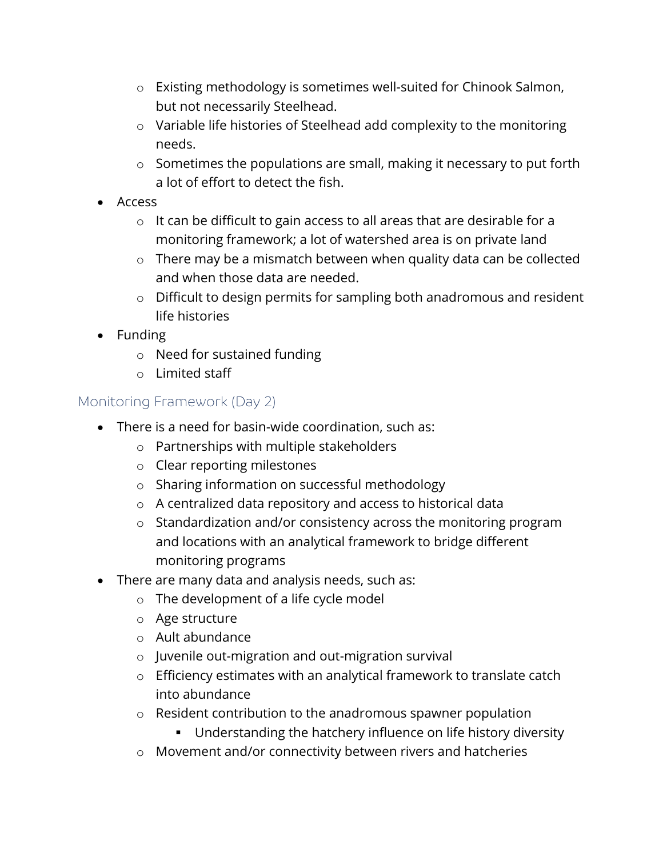- o Existing methodology is sometimes well-suited for Chinook Salmon, but not necessarily Steelhead.
- o Variable life histories of Steelhead add complexity to the monitoring needs.
- o Sometimes the populations are small, making it necessary to put forth a lot of effort to detect the fish.
- Access
	- o It can be difficult to gain access to all areas that are desirable for a monitoring framework; a lot of watershed area is on private land
	- o There may be a mismatch between when quality data can be collected and when those data are needed.
	- o Difficult to design permits for sampling both anadromous and resident life histories
- Funding
	- o Need for sustained funding
	- o Limited staff

### Monitoring Framework (Day 2)

- There is a need for basin-wide coordination, such as:
	- o Partnerships with multiple stakeholders
	- o Clear reporting milestones
	- o Sharing information on successful methodology
	- o A centralized data repository and access to historical data
	- o Standardization and/or consistency across the monitoring program and locations with an analytical framework to bridge different monitoring programs
- There are many data and analysis needs, such as:
	- o The development of a life cycle model
	- o Age structure
	- o Ault abundance
	- o Juvenile out-migration and out-migration survival
	- o Efficiency estimates with an analytical framework to translate catch into abundance
	- o Resident contribution to the anadromous spawner population
		- **Understanding the hatchery influence on life history diversity**
	- o Movement and/or connectivity between rivers and hatcheries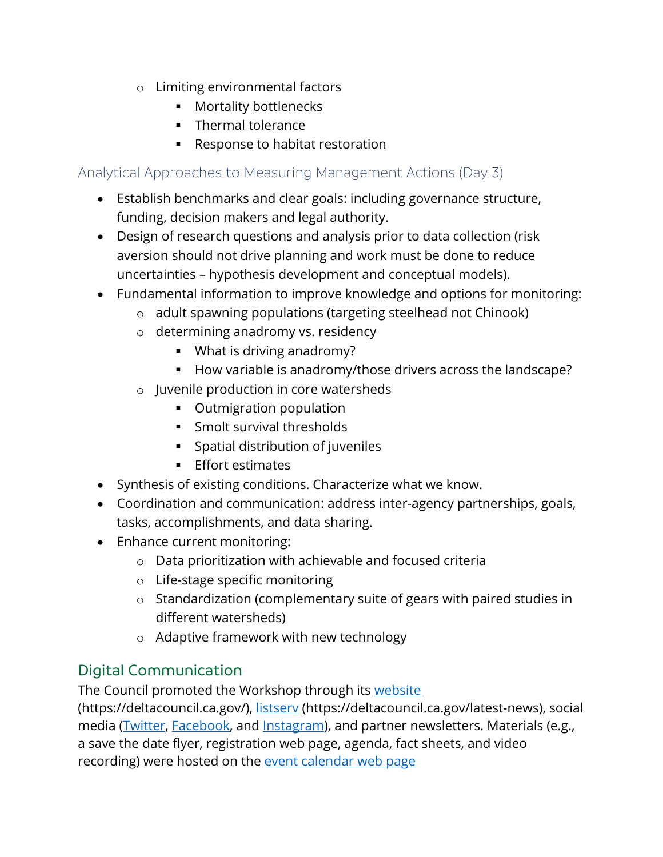- o Limiting environmental factors
	- **Mortality bottlenecks**
	- Thermal tolerance
	- Response to habitat restoration

### Analytical Approaches to Measuring Management Actions (Day 3)

- Establish benchmarks and clear goals: including governance structure, funding, decision makers and legal authority.
- Design of research questions and analysis prior to data collection (risk aversion should not drive planning and work must be done to reduce uncertainties – hypothesis development and conceptual models).
- Fundamental information to improve knowledge and options for monitoring:
	- o adult spawning populations (targeting steelhead not Chinook)
	- o determining anadromy vs. residency
		- What is driving anadromy?
		- How variable is anadromy/those drivers across the landscape?
	- o Juvenile production in core watersheds
		- Outmigration population
		- Smolt survival thresholds
		- Spatial distribution of juveniles
		- **Effort estimates**
- Synthesis of existing conditions. Characterize what we know.
- Coordination and communication: address inter-agency partnerships, goals, tasks, accomplishments, and data sharing.
- Enhance current monitoring:
	- o Data prioritization with achievable and focused criteria
	- o Life-stage specific monitoring
	- o Standardization (complementary suite of gears with paired studies in different watersheds)
	- o Adaptive framework with new technology

# Digital Communication

The Council promoted the Workshop through its [website](https://deltacouncil.ca.gov/)

(https://deltacouncil.ca.gov/), [listserv \(https://deltacouncil.ca.gov/latest-news\)](https://deltacouncil.ca.gov/latest-news), social media [\(Twitter,](https://twitter.com/deltacouncil) [Facebook,](https://www.facebook.com/Delta-Stewardship-Council-137873226259597/) and [Instagram\)](https://www.instagram.com/deltastewardshipcouncil/), and partner newsletters. Materials (e.g., a save the date flyer, registration web page, agenda, fact sheets, and video recording) were hosted on the event calendar [web page](https://deltacouncil.ca.gov/events)